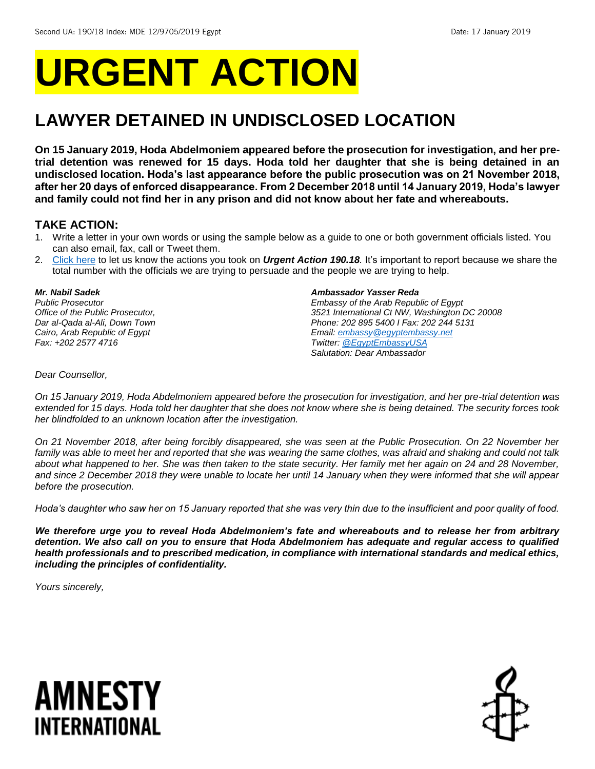# **URGENT ACTION**

## **LAWYER DETAINED IN UNDISCLOSED LOCATION**

**On 15 January 2019, Hoda Abdelmoniem appeared before the prosecution for investigation, and her pretrial detention was renewed for 15 days. Hoda told her daughter that she is being detained in an undisclosed location. Hoda's last appearance before the public prosecution was on 21 November 2018, after her 20 days of enforced disappearance. From 2 December 2018 until 14 January 2019, Hoda's lawyer and family could not find her in any prison and did not know about her fate and whereabouts.**

### **TAKE ACTION:**

- 1. Write a letter in your own words or using the sample below as a guide to one or both government officials listed. You can also email, fax, call or Tweet them.
- 2. [Click here](https://www.amnestyusa.org/report-urgent-actions/) to let us know the actions you took on *Urgent Action 190.18.* It's important to report because we share the total number with the officials we are trying to persuade and the people we are trying to help.

### *Mr. Nabil Sadek*

*Public Prosecutor Office of the Public Prosecutor, Dar al-Qada al-Ali, Down Town Cairo, Arab Republic of Egypt Fax: +202 2577 4716* 

#### *Ambassador Yasser Reda*

*Embassy of the Arab Republic of Egypt 3521 International Ct NW, Washington DC 20008 Phone: 202 895 5400 I Fax: 202 244 5131 Email[: embassy@egyptembassy.net](mailto:embassy@egyptembassy.net) Twitter: [@EgyptEmbassyUSA](https://twitter.com/EgyptEmbassyUSA?ref_src=twsrc%5Egoogle%7Ctwcamp%5Eserp%7Ctwgr%5Eauthor) Salutation: Dear Ambassador*

### *Dear Counsellor,*

*On 15 January 2019, Hoda Abdelmoniem appeared before the prosecution for investigation, and her pre-trial detention was extended for 15 days. Hoda told her daughter that she does not know where she is being detained. The security forces took her blindfolded to an unknown location after the investigation.*

*On 21 November 2018, after being forcibly disappeared, she was seen at the Public Prosecution. On 22 November her family was able to meet her and reported that she was wearing the same clothes, was afraid and shaking and could not talk*  about what happened to her. She was then taken to the state security. Her family met her again on 24 and 28 November, *and since 2 December 2018 they were unable to locate her until 14 January when they were informed that she will appear before the prosecution.* 

*Hoda's daughter who saw her on 15 January reported that she was very thin due to the insufficient and poor quality of food.*

*We therefore urge you to reveal Hoda Abdelmoniem's fate and whereabouts and to release her from arbitrary detention. We also call on you to ensure that Hoda Abdelmoniem has adequate and regular access to qualified health professionals and to prescribed medication, in compliance with international standards and medical ethics, including the principles of confidentiality.*

*Yours sincerely,*

## AMNESTY INTERNATIONAL